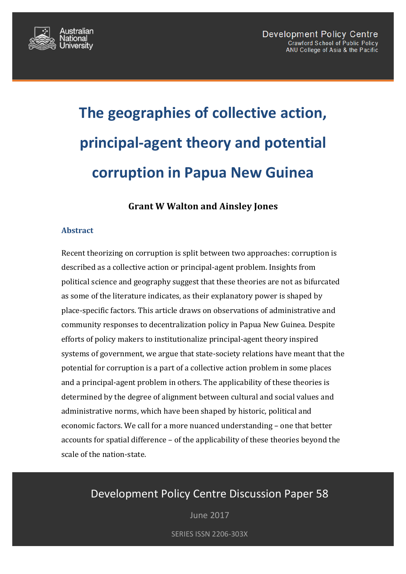

# **The geographies of collective action, principal-agent theory and potential corruption in Papua New Guinea**

# **Grant W Walton and Ainsley Jones**

#### **Abstract**

Recent theorizing on corruption is split between two approaches: corruption is described as a collective action or principal-agent problem. Insights from political science and geography suggest that these theories are not as bifurcated as some of the literature indicates, as their explanatory power is shaped by place-specific factors. This article draws on observations of administrative and community responses to decentralization policy in Papua New Guinea. Despite efforts of policy makers to institutionalize principal-agent theory inspired systems of government, we argue that state-society relations have meant that the potential for corruption is a part of a collective action problem in some places and a principal-agent problem in others. The applicability of these theories is determined by the degree of alignment between cultural and social values and administrative norms, which have been shaped by historic, political and economic factors. We call for a more nuanced understanding - one that better accounts for spatial difference  $-$  of the applicability of these theories beyond the scale of the nation-state.

# Development Policy Centre Discussion Paper 58

June 2017

**SERIES ISSN 2206-303X**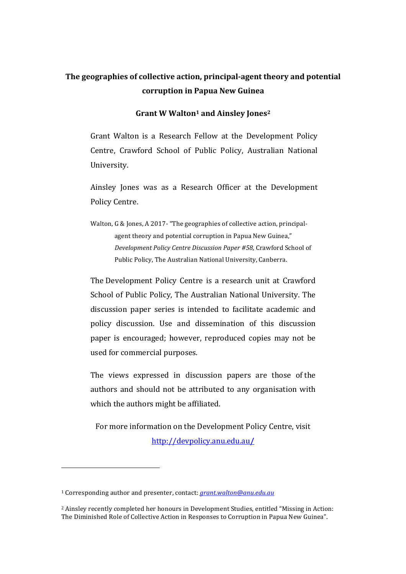# The geographies of collective action, principal-agent theory and potential **corruption in Papua New Guinea**

#### **Grant W Walton1 and Ainsley Jones2**

Grant Walton is a Research Fellow at the Development Policy Centre, Crawford School of Public Policy, Australian National University. 

Ainsley Jones was as a Research Officer at the Development Policy Centre.

Walton, G & Jones, A 2017- "The geographies of collective action, principalagent theory and potential corruption in Papua New Guinea," *Development Policy Centre Discussion Paper #58, Crawford School of* Public Policy, The Australian National University, Canberra.

The Development Policy Centre is a research unit at Crawford School of Public Policy, The Australian National University, The discussion paper series is intended to facilitate academic and policy discussion. Use and dissemination of this discussion paper is encouraged; however, reproduced copies may not be used for commercial purposes.

The views expressed in discussion papers are those of the authors and should not be attributed to any organisation with which the authors might be affiliated.

For more information on the Development Policy Centre, visit http://devpolicy.anu.edu.au**/**

<sup>&</sup>lt;sup>1</sup> Corresponding author and presenter, contact: *grant.walton@anu.edu.au* 

<sup>&</sup>lt;sup>2</sup> Ainsley recently completed her honours in Development Studies, entitled "Missing in Action: The Diminished Role of Collective Action in Responses to Corruption in Papua New Guinea".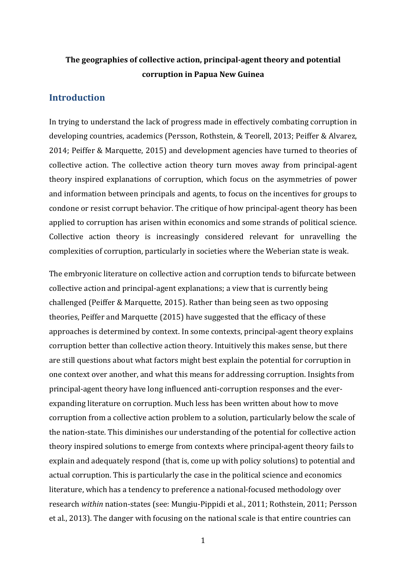# The geographies of collective action, principal-agent theory and potential **corruption in Papua New Guinea**

#### **Introduction**

In trying to understand the lack of progress made in effectively combating corruption in developing countries, academics (Persson, Rothstein, & Teorell, 2013; Peiffer & Alvarez, 2014; Peiffer & Marquette, 2015) and development agencies have turned to theories of collective action. The collective action theory turn moves away from principal-agent theory inspired explanations of corruption, which focus on the asymmetries of power and information between principals and agents, to focus on the incentives for groups to condone or resist corrupt behavior. The critique of how principal-agent theory has been applied to corruption has arisen within economics and some strands of political science. Collective action theory is increasingly considered relevant for unravelling the complexities of corruption, particularly in societies where the Weberian state is weak.

The embryonic literature on collective action and corruption tends to bifurcate between collective action and principal-agent explanations; a view that is currently being challenged (Peiffer & Marquette, 2015). Rather than being seen as two opposing theories, Peiffer and Marquette (2015) have suggested that the efficacy of these approaches is determined by context. In some contexts, principal-agent theory explains corruption better than collective action theory. Intuitively this makes sense, but there are still questions about what factors might best explain the potential for corruption in one context over another, and what this means for addressing corruption. Insights from principal-agent theory have long influenced anti-corruption responses and the everexpanding literature on corruption. Much less has been written about how to move corruption from a collective action problem to a solution, particularly below the scale of the nation-state. This diminishes our understanding of the potential for collective action theory inspired solutions to emerge from contexts where principal-agent theory fails to explain and adequately respond (that is, come up with policy solutions) to potential and actual corruption. This is particularly the case in the political science and economics literature, which has a tendency to preference a national-focused methodology over research *within* nation-states (see: Mungiu-Pippidi et al., 2011; Rothstein, 2011; Persson et al., 2013). The danger with focusing on the national scale is that entire countries can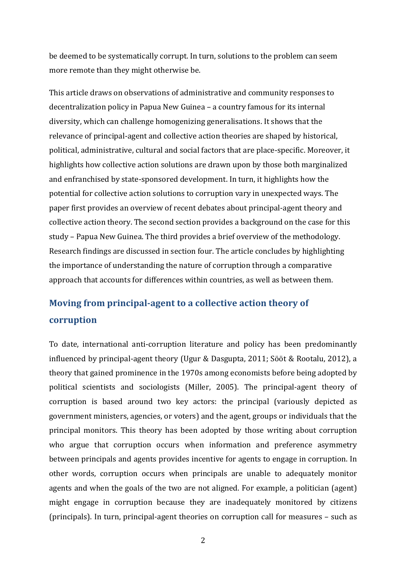be deemed to be systematically corrupt. In turn, solutions to the problem can seem more remote than they might otherwise be.

This article draws on observations of administrative and community responses to decentralization policy in Papua New Guinea – a country famous for its internal diversity, which can challenge homogenizing generalisations. It shows that the relevance of principal-agent and collective action theories are shaped by historical, political, administrative, cultural and social factors that are place-specific. Moreover, it highlights how collective action solutions are drawn upon by those both marginalized and enfranchised by state-sponsored development. In turn, it highlights how the potential for collective action solutions to corruption vary in unexpected ways. The paper first provides an overview of recent debates about principal-agent theory and collective action theory. The second section provides a background on the case for this study – Papua New Guinea. The third provides a brief overview of the methodology. Research findings are discussed in section four. The article concludes by highlighting the importance of understanding the nature of corruption through a comparative approach that accounts for differences within countries, as well as between them.

# **Moving from principal-agent to a collective action theory of corruption**

To date, international anti-corruption literature and policy has been predominantly influenced by principal-agent theory (Ugur & Dasgupta, 2011; Sööt & Rootalu, 2012), a theory that gained prominence in the 1970s among economists before being adopted by political scientists and sociologists (Miller, 2005). The principal-agent theory of corruption is based around two key actors: the principal (variously depicted as government ministers, agencies, or voters) and the agent, groups or individuals that the principal monitors. This theory has been adopted by those writing about corruption who argue that corruption occurs when information and preference asymmetry between principals and agents provides incentive for agents to engage in corruption. In other words, corruption occurs when principals are unable to adequately monitor agents and when the goals of the two are not aligned. For example, a politician (agent) might engage in corruption because they are inadequately monitored by citizens (principals). In turn, principal-agent theories on corruption call for measures – such as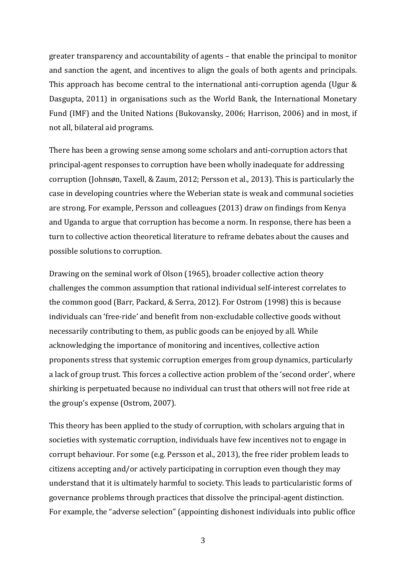greater transparency and accountability of agents – that enable the principal to monitor and sanction the agent, and incentives to align the goals of both agents and principals. This approach has become central to the international anti-corruption agenda (Ugur  $&$ Dasgupta, 2011) in organisations such as the World Bank, the International Monetary Fund (IMF) and the United Nations (Bukovansky, 2006; Harrison, 2006) and in most, if not all, bilateral aid programs.

There has been a growing sense among some scholars and anti-corruption actors that principal-agent responses to corruption have been wholly inadequate for addressing corruption (Johnsøn, Taxell, & Zaum, 2012; Persson et al., 2013). This is particularly the case in developing countries where the Weberian state is weak and communal societies are strong. For example, Persson and colleagues (2013) draw on findings from Kenya and Uganda to argue that corruption has become a norm. In response, there has been a turn to collective action theoretical literature to reframe debates about the causes and possible solutions to corruption.

Drawing on the seminal work of Olson (1965), broader collective action theory challenges the common assumption that rational individual self-interest correlates to the common good (Barr, Packard, & Serra, 2012). For Ostrom (1998) this is because individuals can 'free-ride' and benefit from non-excludable collective goods without necessarily contributing to them, as public goods can be enjoyed by all. While acknowledging the importance of monitoring and incentives, collective action proponents stress that systemic corruption emerges from group dynamics, particularly a lack of group trust. This forces a collective action problem of the 'second order', where shirking is perpetuated because no individual can trust that others will not free ride at the group's expense (Ostrom, 2007).

This theory has been applied to the study of corruption, with scholars arguing that in societies with systematic corruption, individuals have few incentives not to engage in corrupt behaviour. For some (e.g. Persson et al., 2013), the free rider problem leads to citizens accepting and/or actively participating in corruption even though they may understand that it is ultimately harmful to society. This leads to particularistic forms of governance problems through practices that dissolve the principal-agent distinction. For example, the "adverse selection" (appointing dishonest individuals into public office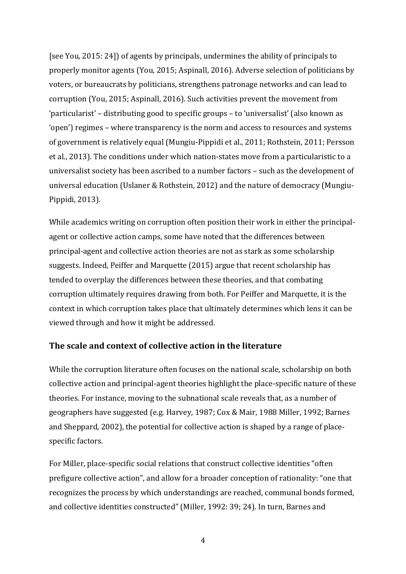[see You, 2015: 24]) of agents by principals, undermines the ability of principals to properly monitor agents (You, 2015; Aspinall, 2016). Adverse selection of politicians by voters, or bureaucrats by politicians, strengthens patronage networks and can lead to corruption (You, 2015; Aspinall, 2016). Such activities prevent the movement from 'particularist' – distributing good to specific groups – to 'universalist' (also known as 'open') regimes – where transparency is the norm and access to resources and systems of government is relatively equal (Mungiu-Pippidi et al., 2011; Rothstein, 2011; Persson et al., 2013). The conditions under which nation-states move from a particularistic to a universalist society has been ascribed to a number factors - such as the development of universal education (Uslaner & Rothstein, 2012) and the nature of democracy (Mungiu-Pippidi, 2013).

While academics writing on corruption often position their work in either the principalagent or collective action camps, some have noted that the differences between principal-agent and collective action theories are not as stark as some scholarship suggests. Indeed, Peiffer and Marquette (2015) argue that recent scholarship has tended to overplay the differences between these theories, and that combating corruption ultimately requires drawing from both. For Peiffer and Marquette, it is the context in which corruption takes place that ultimately determines which lens it can be viewed through and how it might be addressed.

## **The scale and context of collective action in the literature**

While the corruption literature often focuses on the national scale, scholarship on both collective action and principal-agent theories highlight the place-specific nature of these theories. For instance, moving to the subnational scale reveals that, as a number of geographers have suggested (e.g. Harvey, 1987; Cox & Mair, 1988 Miller, 1992; Barnes and Sheppard, 2002), the potential for collective action is shaped by a range of placespecific factors.

For Miller, place-specific social relations that construct collective identities "often prefigure collective action", and allow for a broader conception of rationality: "one that recognizes the process by which understandings are reached, communal bonds formed, and collective identities constructed" (Miller, 1992: 39; 24). In turn, Barnes and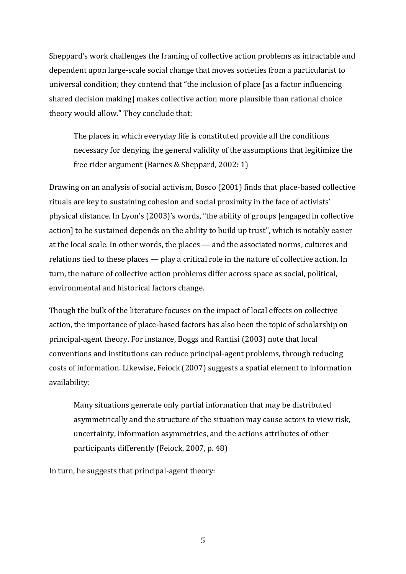Sheppard's work challenges the framing of collective action problems as intractable and dependent upon large-scale social change that moves societies from a particularist to universal condition; they contend that "the inclusion of place [as a factor influencing shared decision making] makes collective action more plausible than rational choice theory would allow." They conclude that:

The places in which everyday life is constituted provide all the conditions necessary for denying the general validity of the assumptions that legitimize the free rider argument (Barnes & Sheppard, 2002: 1)

Drawing on an analysis of social activism, Bosco (2001) finds that place-based collective rituals are key to sustaining cohesion and social proximity in the face of activists' physical distance. In Lyon's (2003)'s words, "the ability of groups [engaged in collective action] to be sustained depends on the ability to build up trust", which is notably easier at the local scale. In other words, the places — and the associated norms, cultures and relations tied to these places  $-$  play a critical role in the nature of collective action. In turn, the nature of collective action problems differ across space as social, political, environmental and historical factors change.

Though the bulk of the literature focuses on the impact of local effects on collective action, the importance of place-based factors has also been the topic of scholarship on principal-agent theory. For instance, Boggs and Rantisi (2003) note that local conventions and institutions can reduce principal-agent problems, through reducing costs of information. Likewise, Feiock (2007) suggests a spatial element to information availability: 

Many situations generate only partial information that may be distributed asymmetrically and the structure of the situation may cause actors to view risk, uncertainty, information asymmetries, and the actions attributes of other participants differently (Feiock, 2007, p. 48)

In turn, he suggests that principal-agent theory: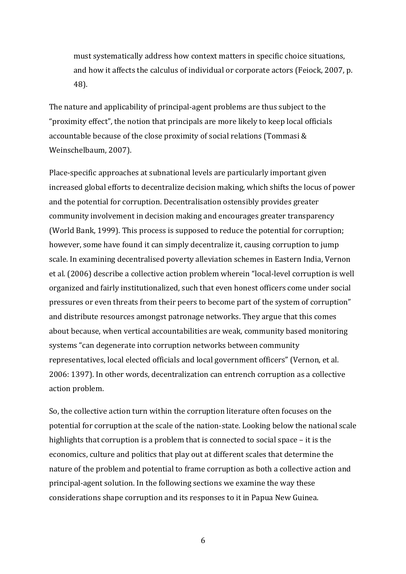must systematically address how context matters in specific choice situations, and how it affects the calculus of individual or corporate actors (Feiock, 2007, p. 48). 

The nature and applicability of principal-agent problems are thus subject to the "proximity effect", the notion that principals are more likely to keep local officials accountable because of the close proximity of social relations (Tommasi & Weinschelbaum, 2007).

Place-specific approaches at subnational levels are particularly important given increased global efforts to decentralize decision making, which shifts the locus of power and the potential for corruption. Decentralisation ostensibly provides greater community involvement in decision making and encourages greater transparency (World Bank, 1999). This process is supposed to reduce the potential for corruption; however, some have found it can simply decentralize it, causing corruption to jump scale. In examining decentralised poverty alleviation schemes in Eastern India, Vernon et al. (2006) describe a collective action problem wherein "local-level corruption is well organized and fairly institutionalized, such that even honest officers come under social pressures or even threats from their peers to become part of the system of corruption" and distribute resources amongst patronage networks. They argue that this comes about because, when vertical accountabilities are weak, community based monitoring systems "can degenerate into corruption networks between community representatives, local elected officials and local government officers" (Vernon, et al. 2006: 1397). In other words, decentralization can entrench corruption as a collective action problem.

So, the collective action turn within the corruption literature often focuses on the potential for corruption at the scale of the nation-state. Looking below the national scale highlights that corruption is a problem that is connected to social space  $-$  it is the economics, culture and politics that play out at different scales that determine the nature of the problem and potential to frame corruption as both a collective action and principal-agent solution. In the following sections we examine the way these considerations shape corruption and its responses to it in Papua New Guinea.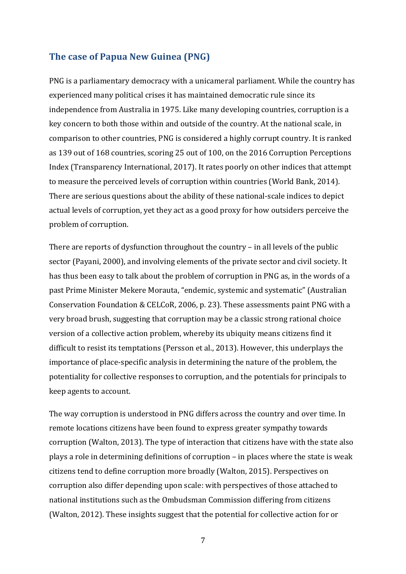## **The case of Papua New Guinea (PNG)**

PNG is a parliamentary democracy with a unicameral parliament. While the country has experienced many political crises it has maintained democratic rule since its independence from Australia in 1975. Like many developing countries, corruption is a key concern to both those within and outside of the country. At the national scale, in comparison to other countries, PNG is considered a highly corrupt country. It is ranked as 139 out of 168 countries, scoring 25 out of 100, on the 2016 Corruption Perceptions Index (Transparency International, 2017). It rates poorly on other indices that attempt to measure the perceived levels of corruption within countries (World Bank, 2014). There are serious questions about the ability of these national-scale indices to depict actual levels of corruption, yet they act as a good proxy for how outsiders perceive the problem of corruption.

There are reports of dysfunction throughout the country  $-$  in all levels of the public sector (Payani, 2000), and involving elements of the private sector and civil society. It has thus been easy to talk about the problem of corruption in PNG as, in the words of a past Prime Minister Mekere Morauta, "endemic, systemic and systematic" (Australian Conservation Foundation & CELCoR, 2006, p. 23). These assessments paint PNG with a very broad brush, suggesting that corruption may be a classic strong rational choice version of a collective action problem, whereby its ubiquity means citizens find it difficult to resist its temptations (Persson et al., 2013). However, this underplays the importance of place-specific analysis in determining the nature of the problem, the potentiality for collective responses to corruption, and the potentials for principals to keep agents to account.

The way corruption is understood in PNG differs across the country and over time. In remote locations citizens have been found to express greater sympathy towards corruption (Walton, 2013). The type of interaction that citizens have with the state also plays a role in determining definitions of corruption - in places where the state is weak citizens tend to define corruption more broadly (Walton, 2015). Perspectives on corruption also differ depending upon scale: with perspectives of those attached to national institutions such as the Ombudsman Commission differing from citizens (Walton, 2012). These insights suggest that the potential for collective action for or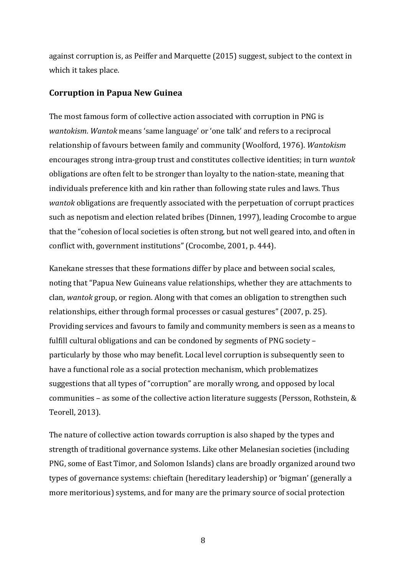against corruption is, as Peiffer and Marquette (2015) suggest, subject to the context in which it takes place.

#### **Corruption in Papua New Guinea**

The most famous form of collective action associated with corruption in PNG is *wantokism. Wantok* means 'same language' or 'one talk' and refers to a reciprocal relationship of favours between family and community (Woolford, 1976). *Wantokism* encourages strong intra-group trust and constitutes collective identities; in turn *wantok* obligations are often felt to be stronger than loyalty to the nation-state, meaning that individuals preference kith and kin rather than following state rules and laws. Thus *wantok* obligations are frequently associated with the perpetuation of corrupt practices such as nepotism and election related bribes (Dinnen, 1997), leading Crocombe to argue that the "cohesion of local societies is often strong, but not well geared into, and often in conflict with, government institutions" (Crocombe, 2001, p. 444).

Kanekane stresses that these formations differ by place and between social scales, noting that "Papua New Guineans value relationships, whether they are attachments to clan, *wantok* group, or region. Along with that comes an obligation to strengthen such relationships, either through formal processes or casual gestures" (2007, p. 25). Providing services and favours to family and community members is seen as a means to fulfill cultural obligations and can be condoned by segments of PNG society  $$ particularly by those who may benefit. Local level corruption is subsequently seen to have a functional role as a social protection mechanism, which problematizes suggestions that all types of "corruption" are morally wrong, and opposed by local communities – as some of the collective action literature suggests (Persson, Rothstein,  $&$ Teorell, 2013).

The nature of collective action towards corruption is also shaped by the types and strength of traditional governance systems. Like other Melanesian societies (including PNG, some of East Timor, and Solomon Islands) clans are broadly organized around two types of governance systems: chieftain (hereditary leadership) or 'bigman' (generally a more meritorious) systems, and for many are the primary source of social protection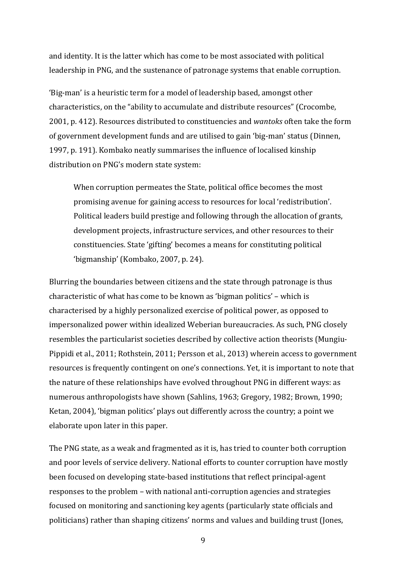and identity. It is the latter which has come to be most associated with political leadership in PNG, and the sustenance of patronage systems that enable corruption.

'Big-man' is a heuristic term for a model of leadership based, amongst other characteristics, on the "ability to accumulate and distribute resources" (Crocombe, 2001, p. 412). Resources distributed to constituencies and *wantoks* often take the form of government development funds and are utilised to gain 'big-man' status (Dinnen, 1997, p. 191). Kombako neatly summarises the influence of localised kinship distribution on PNG's modern state system:

When corruption permeates the State, political office becomes the most promising avenue for gaining access to resources for local 'redistribution'. Political leaders build prestige and following through the allocation of grants, development projects, infrastructure services, and other resources to their constituencies. State 'gifting' becomes a means for constituting political 'bigmanship' (Kombako, 2007, p. 24).

Blurring the boundaries between citizens and the state through patronage is thus characteristic of what has come to be known as 'bigman politics' – which is characterised by a highly personalized exercise of political power, as opposed to impersonalized power within idealized Weberian bureaucracies. As such, PNG closely resembles the particularist societies described by collective action theorists (Mungiu-Pippidi et al., 2011; Rothstein, 2011; Persson et al., 2013) wherein access to government resources is frequently contingent on one's connections. Yet, it is important to note that the nature of these relationships have evolved throughout PNG in different ways: as numerous anthropologists have shown (Sahlins, 1963; Gregory, 1982; Brown, 1990; Ketan, 2004), 'bigman politics' plays out differently across the country; a point we elaborate upon later in this paper.

The PNG state, as a weak and fragmented as it is, has tried to counter both corruption and poor levels of service delivery. National efforts to counter corruption have mostly been focused on developing state-based institutions that reflect principal-agent responses to the problem – with national anti-corruption agencies and strategies focused on monitoring and sanctioning key agents (particularly state officials and politicians) rather than shaping citizens' norms and values and building trust (Jones,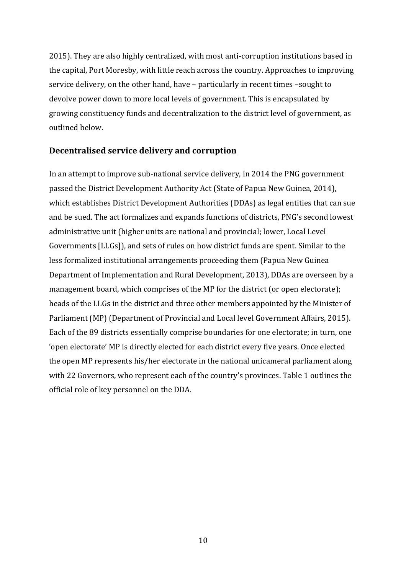2015). They are also highly centralized, with most anti-corruption institutions based in the capital, Port Moresby, with little reach across the country. Approaches to improving service delivery, on the other hand, have - particularly in recent times -sought to devolve power down to more local levels of government. This is encapsulated by growing constituency funds and decentralization to the district level of government, as outlined below.

#### **Decentralised service delivery and corruption**

In an attempt to improve sub-national service delivery, in 2014 the PNG government passed the District Development Authority Act (State of Papua New Guinea, 2014), which establishes District Development Authorities (DDAs) as legal entities that can sue and be sued. The act formalizes and expands functions of districts, PNG's second lowest administrative unit (higher units are national and provincial; lower, Local Level Governments [LLGs]), and sets of rules on how district funds are spent. Similar to the less formalized institutional arrangements proceeding them (Papua New Guinea Department of Implementation and Rural Development, 2013), DDAs are overseen by a management board, which comprises of the MP for the district (or open electorate); heads of the LLGs in the district and three other members appointed by the Minister of Parliament (MP) (Department of Provincial and Local level Government Affairs, 2015). Each of the 89 districts essentially comprise boundaries for one electorate; in turn, one 'open electorate' MP is directly elected for each district every five years. Once elected the open MP represents his/her electorate in the national unicameral parliament along with 22 Governors, who represent each of the country's provinces. Table 1 outlines the official role of key personnel on the DDA.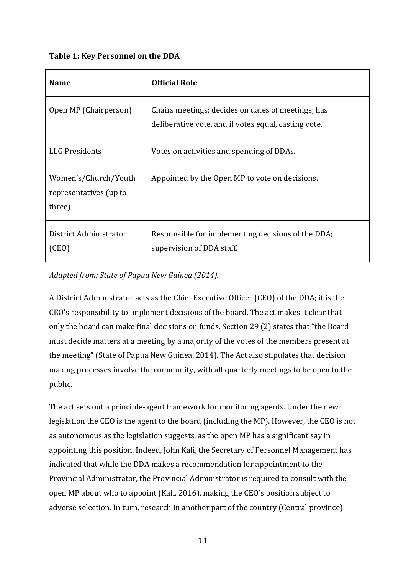## Table 1: Key Personnel on the DDA

| <b>Name</b>                                              | <b>Official Role</b>                                                                                       |
|----------------------------------------------------------|------------------------------------------------------------------------------------------------------------|
| Open MP (Chairperson)                                    | Chairs meetings; decides on dates of meetings; has<br>deliberative vote, and if votes equal, casting vote. |
| <b>LLG Presidents</b>                                    | Votes on activities and spending of DDAs.                                                                  |
| Women's/Church/Youth<br>representatives (up to<br>three) | Appointed by the Open MP to vote on decisions.                                                             |
| District Administrator<br>(CEO)                          | Responsible for implementing decisions of the DDA;<br>supervision of DDA staff.                            |

Adapted from: State of Papua New Guinea (2014).

A District Administrator acts as the Chief Executive Officer (CEO) of the DDA; it is the CEO's responsibility to implement decisions of the board. The act makes it clear that only the board can make final decisions on funds. Section 29 (2) states that "the Board must decide matters at a meeting by a majority of the votes of the members present at the meeting" (State of Papua New Guinea, 2014). The Act also stipulates that decision making processes involve the community, with all quarterly meetings to be open to the public.

The act sets out a principle-agent framework for monitoring agents. Under the new legislation the CEO is the agent to the board (including the MP). However, the CEO is not as autonomous as the legislation suggests, as the open MP has a significant say in appointing this position. Indeed, John Kali, the Secretary of Personnel Management has indicated that while the DDA makes a recommendation for appointment to the Provincial Administrator, the Provincial Administrator is required to consult with the open MP about who to appoint (Kali, 2016), making the CEO's position subject to adverse selection. In turn, research in another part of the country (Central province)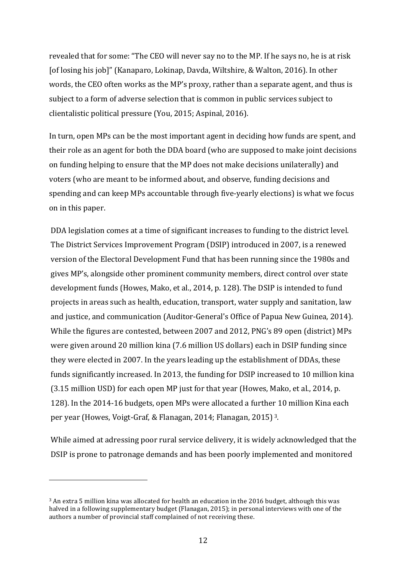revealed that for some: "The CEO will never say no to the MP. If he says no, he is at risk [of losing his job]" (Kanaparo, Lokinap, Davda, Wiltshire, & Walton, 2016). In other words, the CEO often works as the MP's proxy, rather than a separate agent, and thus is subject to a form of adverse selection that is common in public services subject to clientalistic political pressure (You, 2015; Aspinal, 2016).

In turn, open MPs can be the most important agent in deciding how funds are spent, and their role as an agent for both the DDA board (who are supposed to make joint decisions on funding helping to ensure that the MP does not make decisions unilaterally) and voters (who are meant to be informed about, and observe, funding decisions and spending and can keep MPs accountable through five-yearly elections) is what we focus on in this paper.

DDA legislation comes at a time of significant increases to funding to the district level. The District Services Improvement Program (DSIP) introduced in 2007, is a renewed version of the Electoral Development Fund that has been running since the 1980s and gives MP's, alongside other prominent community members, direct control over state development funds (Howes, Mako, et al., 2014, p. 128). The DSIP is intended to fund projects in areas such as health, education, transport, water supply and sanitation, law and justice, and communication (Auditor-General's Office of Papua New Guinea, 2014). While the figures are contested, between 2007 and 2012, PNG's 89 open (district) MPs were given around 20 million kina (7.6 million US dollars) each in DSIP funding since they were elected in 2007. In the years leading up the establishment of DDAs, these funds significantly increased. In 2013, the funding for DSIP increased to 10 million kina (3.15 million USD) for each open MP just for that year (Howes, Mako, et al., 2014, p. 128). In the 2014-16 budgets, open MPs were allocated a further 10 million Kina each per year (Howes, Voigt-Graf, & Flanagan, 2014; Flanagan, 2015)<sup>3</sup>.

While aimed at adressing poor rural service delivery, it is widely acknowledged that the DSIP is prone to patronage demands and has been poorly implemented and monitored

<sup>&</sup>lt;sup>3</sup> An extra 5 million kina was allocated for health an education in the 2016 budget, although this was halved in a following supplementary budget (Flanagan, 2015); in personal interviews with one of the authors a number of provincial staff complained of not receiving these.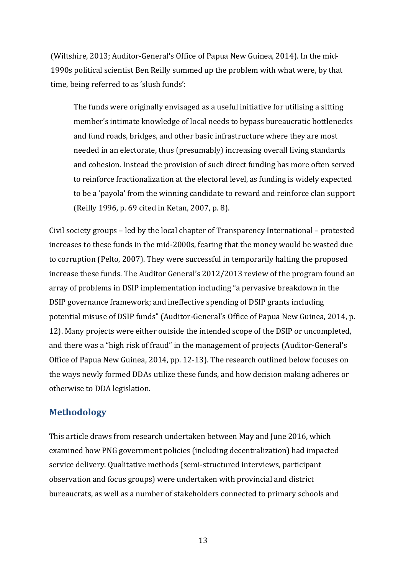(Wiltshire, 2013; Auditor-General's Office of Papua New Guinea, 2014). In the mid-1990s political scientist Ben Reilly summed up the problem with what were, by that time, being referred to as 'slush funds':

The funds were originally envisaged as a useful initiative for utilising a sitting member's intimate knowledge of local needs to bypass bureaucratic bottlenecks and fund roads, bridges, and other basic infrastructure where they are most needed in an electorate, thus (presumably) increasing overall living standards and cohesion. Instead the provision of such direct funding has more often served to reinforce fractionalization at the electoral level, as funding is widely expected to be a 'payola' from the winning candidate to reward and reinforce clan support (Reilly 1996, p. 69 cited in Ketan, 2007, p. 8).

Civil society groups – led by the local chapter of Transparency International – protested increases to these funds in the mid-2000s, fearing that the money would be wasted due to corruption (Pelto, 2007). They were successful in temporarily halting the proposed increase these funds. The Auditor General's 2012/2013 review of the program found an array of problems in DSIP implementation including "a pervasive breakdown in the DSIP governance framework; and ineffective spending of DSIP grants including potential misuse of DSIP funds" (Auditor-General's Office of Papua New Guinea, 2014, p. 12). Many projects were either outside the intended scope of the DSIP or uncompleted, and there was a "high risk of fraud" in the management of projects (Auditor-General's Office of Papua New Guinea, 2014, pp. 12-13). The research outlined below focuses on the ways newly formed DDAs utilize these funds, and how decision making adheres or otherwise to DDA legislation.

## **Methodology**

This article draws from research undertaken between May and June 2016, which examined how PNG government policies (including decentralization) had impacted service delivery. Qualitative methods (semi-structured interviews, participant observation and focus groups) were undertaken with provincial and district bureaucrats, as well as a number of stakeholders connected to primary schools and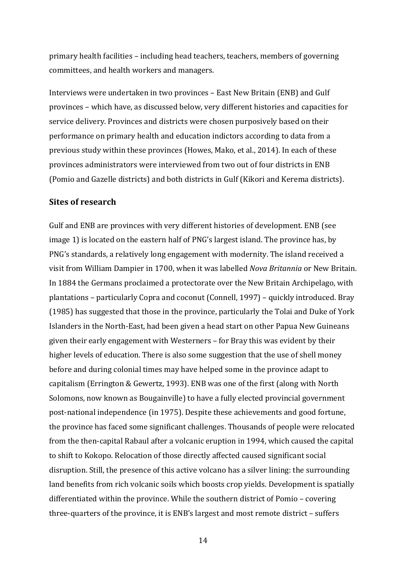primary health facilities - including head teachers, teachers, members of governing committees, and health workers and managers.

Interviews were undertaken in two provinces - East New Britain (ENB) and Gulf provinces – which have, as discussed below, very different histories and capacities for service delivery. Provinces and districts were chosen purposively based on their performance on primary health and education indictors according to data from a previous study within these provinces (Howes, Mako, et al., 2014). In each of these provinces administrators were interviewed from two out of four districts in ENB (Pomio and Gazelle districts) and both districts in Gulf (Kikori and Kerema districts).

#### **Sites of research**

Gulf and ENB are provinces with very different histories of development. ENB (see image 1) is located on the eastern half of PNG's largest island. The province has, by PNG's standards, a relatively long engagement with modernity. The island received a visit from William Dampier in 1700, when it was labelled *Nova Britannia* or New Britain. In 1884 the Germans proclaimed a protectorate over the New Britain Archipelago, with plantations - particularly Copra and coconut (Connell, 1997) - quickly introduced. Bray (1985) has suggested that those in the province, particularly the Tolai and Duke of York Islanders in the North-East, had been given a head start on other Papua New Guineans given their early engagement with Westerners  $-$  for Bray this was evident by their higher levels of education. There is also some suggestion that the use of shell money before and during colonial times may have helped some in the province adapt to capitalism (Errington & Gewertz, 1993). ENB was one of the first (along with North Solomons, now known as Bougainville) to have a fully elected provincial government post-national independence (in 1975). Despite these achievements and good fortune, the province has faced some significant challenges. Thousands of people were relocated from the then-capital Rabaul after a volcanic eruption in 1994, which caused the capital to shift to Kokopo. Relocation of those directly affected caused significant social disruption. Still, the presence of this active volcano has a silver lining: the surrounding land benefits from rich volcanic soils which boosts crop yields. Development is spatially differentiated within the province. While the southern district of Pomio - covering three-quarters of the province, it is ENB's largest and most remote district  $-$  suffers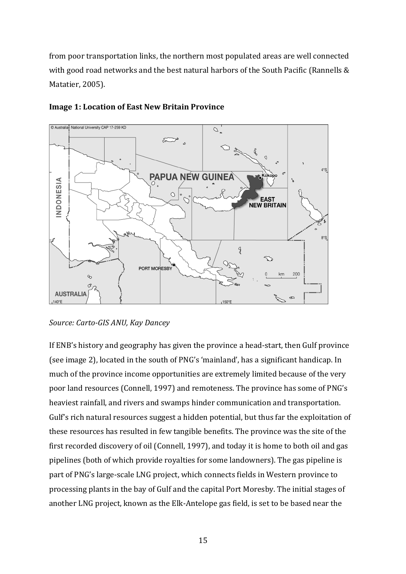from poor transportation links, the northern most populated areas are well connected with good road networks and the best natural harbors of the South Pacific (Rannells  $&$ Matatier, 2005).



#### **Image 1: Location of East New Britain Province**

If ENB's history and geography has given the province a head-start, then Gulf province (see image 2), located in the south of PNG's 'mainland', has a significant handicap. In much of the province income opportunities are extremely limited because of the very poor land resources (Connell, 1997) and remoteness. The province has some of PNG's heaviest rainfall, and rivers and swamps hinder communication and transportation. Gulf's rich natural resources suggest a hidden potential, but thus far the exploitation of these resources has resulted in few tangible benefits. The province was the site of the first recorded discovery of oil (Connell, 1997), and today it is home to both oil and gas pipelines (both of which provide royalties for some landowners). The gas pipeline is part of PNG's large-scale LNG project, which connects fields in Western province to processing plants in the bay of Gulf and the capital Port Moresby. The initial stages of another LNG project, known as the Elk-Antelope gas field, is set to be based near the

*Source: Carto-GIS ANU, Kay Dancey*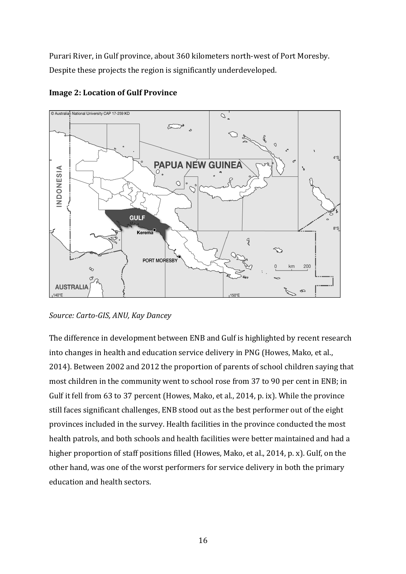Purari River, in Gulf province, about 360 kilometers north-west of Port Moresby. Despite these projects the region is significantly underdeveloped.





The difference in development between ENB and Gulf is highlighted by recent research into changes in health and education service delivery in PNG (Howes, Mako, et al., 2014). Between 2002 and 2012 the proportion of parents of school children saying that most children in the community went to school rose from 37 to 90 per cent in ENB; in Gulf it fell from 63 to 37 percent (Howes, Mako, et al., 2014, p. ix). While the province still faces significant challenges, ENB stood out as the best performer out of the eight provinces included in the survey. Health facilities in the province conducted the most health patrols, and both schools and health facilities were better maintained and had a higher proportion of staff positions filled (Howes, Mako, et al., 2014, p. x). Gulf, on the other hand, was one of the worst performers for service delivery in both the primary education and health sectors.

*Source: Carto-GIS, ANU, Kay Dancey*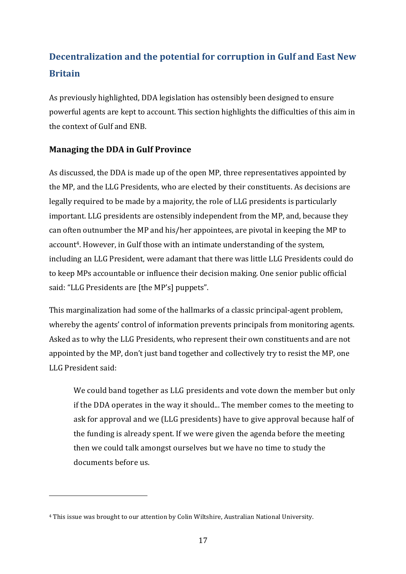# **Decentralization and the potential for corruption in Gulf and East New Britain**

As previously highlighted, DDA legislation has ostensibly been designed to ensure powerful agents are kept to account. This section highlights the difficulties of this aim in the context of Gulf and ENB.

# **Managing the DDA in Gulf Province**

As discussed, the DDA is made up of the open MP, three representatives appointed by the MP, and the LLG Presidents, who are elected by their constituents. As decisions are legally required to be made by a majority, the role of LLG presidents is particularly important. LLG presidents are ostensibly independent from the MP, and, because they can often outnumber the MP and his/her appointees, are pivotal in keeping the MP to account<sup>4</sup>. However, in Gulf those with an intimate understanding of the system, including an LLG President, were adamant that there was little LLG Presidents could do to keep MPs accountable or influence their decision making. One senior public official said: "LLG Presidents are [the MP's] puppets".

This marginalization had some of the hallmarks of a classic principal-agent problem, whereby the agents' control of information prevents principals from monitoring agents. Asked as to why the LLG Presidents, who represent their own constituents and are not appointed by the MP, don't just band together and collectively try to resist the MP, one LLG President said:

We could band together as LLG presidents and vote down the member but only if the DDA operates in the way it should... The member comes to the meeting to ask for approval and we (LLG presidents) have to give approval because half of the funding is already spent. If we were given the agenda before the meeting then we could talk amongst ourselves but we have no time to study the documents before us.

<sup>&</sup>lt;sup>4</sup> This issue was brought to our attention by Colin Wiltshire, Australian National University.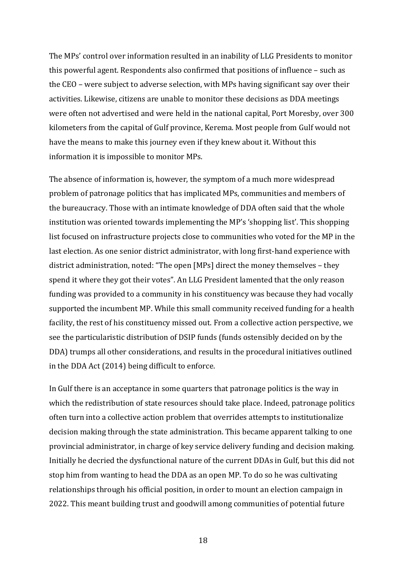The MPs' control over information resulted in an inability of LLG Presidents to monitor this powerful agent. Respondents also confirmed that positions of influence  $-$  such as the  $CEO$  – were subject to adverse selection, with MPs having significant say over their activities. Likewise, citizens are unable to monitor these decisions as DDA meetings were often not advertised and were held in the national capital, Port Moresby, over 300 kilometers from the capital of Gulf province, Kerema. Most people from Gulf would not have the means to make this journey even if they knew about it. Without this information it is impossible to monitor MPs.

The absence of information is, however, the symptom of a much more widespread problem of patronage politics that has implicated MPs, communities and members of the bureaucracy. Those with an intimate knowledge of DDA often said that the whole institution was oriented towards implementing the MP's 'shopping list'. This shopping list focused on infrastructure projects close to communities who voted for the MP in the last election. As one senior district administrator, with long first-hand experience with district administration, noted: "The open [MPs] direct the money themselves - they spend it where they got their votes". An LLG President lamented that the only reason funding was provided to a community in his constituency was because they had vocally supported the incumbent MP. While this small community received funding for a health facility, the rest of his constituency missed out. From a collective action perspective, we see the particularistic distribution of DSIP funds (funds ostensibly decided on by the DDA) trumps all other considerations, and results in the procedural initiatives outlined in the DDA Act  $(2014)$  being difficult to enforce.

In Gulf there is an acceptance in some quarters that patronage politics is the way in which the redistribution of state resources should take place. Indeed, patronage politics often turn into a collective action problem that overrides attempts to institutionalize decision making through the state administration. This became apparent talking to one provincial administrator, in charge of key service delivery funding and decision making. Initially he decried the dysfunctional nature of the current DDAs in Gulf, but this did not stop him from wanting to head the DDA as an open MP. To do so he was cultivating relationships through his official position, in order to mount an election campaign in 2022. This meant building trust and goodwill among communities of potential future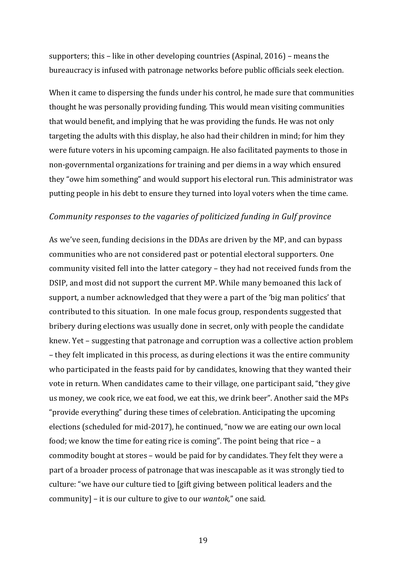supporters; this – like in other developing countries  $(Aspinal, 2016)$  – means the bureaucracy is infused with patronage networks before public officials seek election.

When it came to dispersing the funds under his control, he made sure that communities thought he was personally providing funding. This would mean visiting communities that would benefit, and implying that he was providing the funds. He was not only targeting the adults with this display, he also had their children in mind; for him they were future voters in his upcoming campaign. He also facilitated payments to those in non-governmental organizations for training and per diems in a way which ensured they "owe him something" and would support his electoral run. This administrator was putting people in his debt to ensure they turned into loyal voters when the time came.

#### *Community responses to the vagaries of politicized funding in Gulf province*

As we've seen, funding decisions in the DDAs are driven by the MP, and can bypass communities who are not considered past or potential electoral supporters. One community visited fell into the latter category - they had not received funds from the DSIP, and most did not support the current MP. While many bemoaned this lack of support, a number acknowledged that they were a part of the 'big man politics' that contributed to this situation. In one male focus group, respondents suggested that bribery during elections was usually done in secret, only with people the candidate knew. Yet – suggesting that patronage and corruption was a collective action problem – they felt implicated in this process, as during elections it was the entire community who participated in the feasts paid for by candidates, knowing that they wanted their vote in return. When candidates came to their village, one participant said, "they give us money, we cook rice, we eat food, we eat this, we drink beer". Another said the MPs "provide everything" during these times of celebration. Anticipating the upcoming elections (scheduled for mid-2017), he continued, "now we are eating our own local food; we know the time for eating rice is coming". The point being that rice  $- a$ commodity bought at stores – would be paid for by candidates. They felt they were a part of a broader process of patronage that was inescapable as it was strongly tied to culture: "we have our culture tied to [gift giving between political leaders and the community] - it is our culture to give to our *wantok*," one said.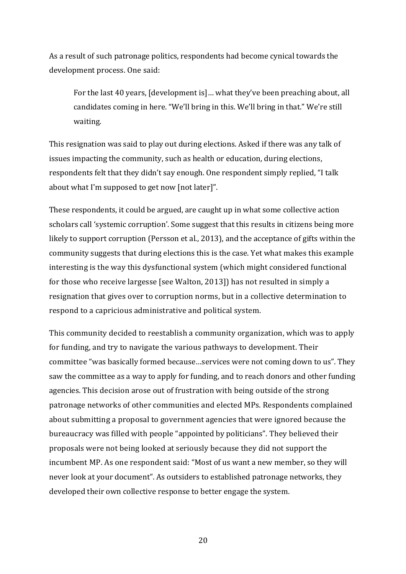As a result of such patronage politics, respondents had become cynical towards the development process. One said:

For the last 40 years, [development is]... what they've been preaching about, all candidates coming in here. "We'll bring in this. We'll bring in that." We're still waiting.

This resignation was said to play out during elections. Asked if there was any talk of issues impacting the community, such as health or education, during elections, respondents felt that they didn't say enough. One respondent simply replied, "I talk about what I'm supposed to get now [not later]".

These respondents, it could be argued, are caught up in what some collective action scholars call 'systemic corruption'. Some suggest that this results in citizens being more likely to support corruption (Persson et al., 2013), and the acceptance of gifts within the community suggests that during elections this is the case. Yet what makes this example interesting is the way this dysfunctional system (which might considered functional for those who receive largesse [see Walton, 2013]) has not resulted in simply a resignation that gives over to corruption norms, but in a collective determination to respond to a capricious administrative and political system.

This community decided to reestablish a community organization, which was to apply for funding, and try to navigate the various pathways to development. Their committee "was basically formed because...services were not coming down to us". They saw the committee as a way to apply for funding, and to reach donors and other funding agencies. This decision arose out of frustration with being outside of the strong patronage networks of other communities and elected MPs. Respondents complained about submitting a proposal to government agencies that were ignored because the bureaucracy was filled with people "appointed by politicians". They believed their proposals were not being looked at seriously because they did not support the incumbent MP. As one respondent said: "Most of us want a new member, so they will never look at your document". As outsiders to established patronage networks, they developed their own collective response to better engage the system.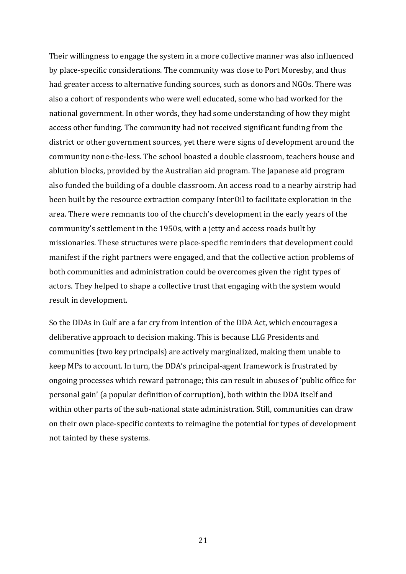Their willingness to engage the system in a more collective manner was also influenced by place-specific considerations. The community was close to Port Moresby, and thus had greater access to alternative funding sources, such as donors and NGOs. There was also a cohort of respondents who were well educated, some who had worked for the national government. In other words, they had some understanding of how they might access other funding. The community had not received significant funding from the district or other government sources, yet there were signs of development around the community none-the-less. The school boasted a double classroom, teachers house and ablution blocks, provided by the Australian aid program. The Japanese aid program also funded the building of a double classroom. An access road to a nearby airstrip had been built by the resource extraction company InterOil to facilitate exploration in the area. There were remnants too of the church's development in the early years of the community's settlement in the 1950s, with a jetty and access roads built by missionaries. These structures were place-specific reminders that development could manifest if the right partners were engaged, and that the collective action problems of both communities and administration could be overcomes given the right types of actors. They helped to shape a collective trust that engaging with the system would result in development.

So the DDAs in Gulf are a far cry from intention of the DDA Act, which encourages a deliberative approach to decision making. This is because LLG Presidents and communities (two key principals) are actively marginalized, making them unable to keep MPs to account. In turn, the DDA's principal-agent framework is frustrated by ongoing processes which reward patronage; this can result in abuses of 'public office for personal gain' (a popular definition of corruption), both within the DDA itself and within other parts of the sub-national state administration. Still, communities can draw on their own place-specific contexts to reimagine the potential for types of development not tainted by these systems.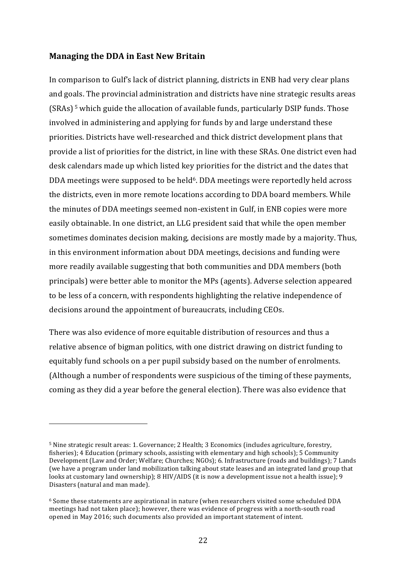#### **Managing the DDA in East New Britain**

 

In comparison to Gulf's lack of district planning, districts in ENB had very clear plans and goals. The provincial administration and districts have nine strategic results areas  $(SRAs)$ <sup>5</sup> which guide the allocation of available funds, particularly DSIP funds. Those involved in administering and applying for funds by and large understand these priorities. Districts have well-researched and thick district development plans that provide a list of priorities for the district, in line with these SRAs. One district even had desk calendars made up which listed key priorities for the district and the dates that DDA meetings were supposed to be held<sup>6</sup>. DDA meetings were reportedly held across the districts, even in more remote locations according to DDA board members. While the minutes of DDA meetings seemed non-existent in Gulf, in ENB copies were more easily obtainable. In one district, an LLG president said that while the open member sometimes dominates decision making, decisions are mostly made by a majority. Thus, in this environment information about DDA meetings, decisions and funding were more readily available suggesting that both communities and DDA members (both principals) were better able to monitor the MPs (agents). Adverse selection appeared to be less of a concern, with respondents highlighting the relative independence of decisions around the appointment of bureaucrats, including CEOs.

There was also evidence of more equitable distribution of resources and thus a relative absence of bigman politics, with one district drawing on district funding to equitably fund schools on a per pupil subsidy based on the number of enrolments. (Although a number of respondents were suspicious of the timing of these payments, coming as they did a year before the general election). There was also evidence that

<sup>&</sup>lt;sup>5</sup> Nine strategic result areas: 1. Governance: 2 Health: 3 Economics (includes agriculture, forestry, fisheries); 4 Education (primary schools, assisting with elementary and high schools); 5 Community Development (Law and Order; Welfare; Churches; NGOs); 6. Infrastructure (roads and buildings); 7 Lands (we have a program under land mobilization talking about state leases and an integrated land group that looks at customary land ownership);  $8 HIV/AIDS$  (it is now a development issue not a health issue); 9 Disasters (natural and man made).

 $6$  Some these statements are aspirational in nature (when researchers visited some scheduled DDA meetings had not taken place); however, there was evidence of progress with a north-south road opened in May 2016; such documents also provided an important statement of intent.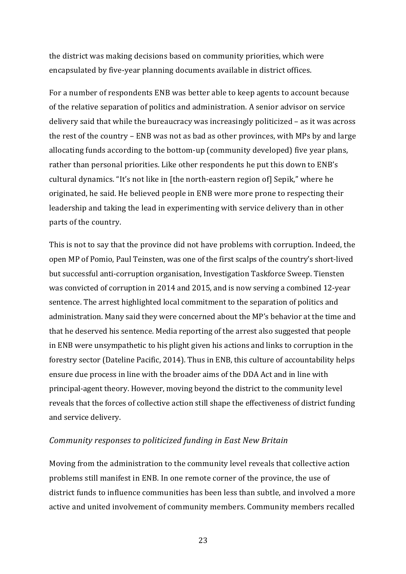the district was making decisions based on community priorities, which were encapsulated by five-year planning documents available in district offices.

For a number of respondents ENB was better able to keep agents to account because of the relative separation of politics and administration. A senior advisor on service delivery said that while the bureaucracy was increasingly politicized – as it was across the rest of the country  $-$  ENB was not as bad as other provinces, with MPs by and large allocating funds according to the bottom-up (community developed) five year plans, rather than personal priorities. Like other respondents he put this down to ENB's cultural dynamics. "It's not like in [the north-eastern region of] Sepik," where he originated, he said. He believed people in ENB were more prone to respecting their leadership and taking the lead in experimenting with service delivery than in other parts of the country.

This is not to say that the province did not have problems with corruption. Indeed, the open MP of Pomio, Paul Teinsten, was one of the first scalps of the country's short-lived but successful anti-corruption organisation, Investigation Taskforce Sweep. Tiensten was convicted of corruption in 2014 and 2015, and is now serving a combined 12-year sentence. The arrest highlighted local commitment to the separation of politics and administration. Many said they were concerned about the MP's behavior at the time and that he deserved his sentence. Media reporting of the arrest also suggested that people in ENB were unsympathetic to his plight given his actions and links to corruption in the forestry sector (Dateline Pacific, 2014). Thus in ENB, this culture of accountability helps ensure due process in line with the broader aims of the DDA Act and in line with principal-agent theory. However, moving beyond the district to the community level reveals that the forces of collective action still shape the effectiveness of district funding and service delivery.

#### *Community responses to politicized funding in East New Britain*

Moving from the administration to the community level reveals that collective action problems still manifest in ENB. In one remote corner of the province, the use of district funds to influence communities has been less than subtle, and involved a more active and united involvement of community members. Community members recalled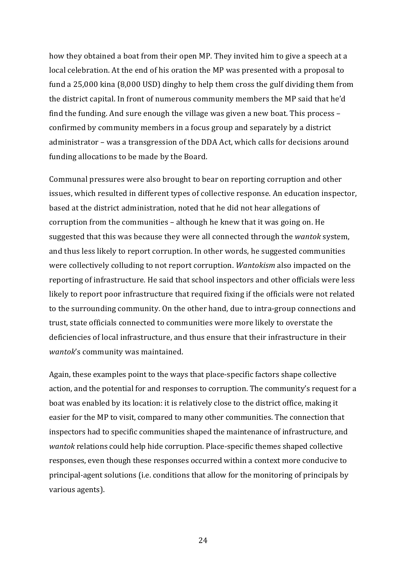how they obtained a boat from their open MP. They invited him to give a speech at a local celebration. At the end of his oration the MP was presented with a proposal to fund a 25,000 kina (8,000 USD) dinghy to help them cross the gulf dividing them from the district capital. In front of numerous community members the MP said that he'd find the funding. And sure enough the village was given a new boat. This process  $$ confirmed by community members in a focus group and separately by a district administrator – was a transgression of the DDA Act, which calls for decisions around funding allocations to be made by the Board.

Communal pressures were also brought to bear on reporting corruption and other issues, which resulted in different types of collective response. An education inspector, based at the district administration, noted that he did not hear allegations of corruption from the communities - although he knew that it was going on. He suggested that this was because they were all connected through the *wantok* system, and thus less likely to report corruption. In other words, he suggested communities were collectively colluding to not report corruption. *Wantokism* also impacted on the reporting of infrastructure. He said that school inspectors and other officials were less likely to report poor infrastructure that required fixing if the officials were not related to the surrounding community. On the other hand, due to intra-group connections and trust, state officials connected to communities were more likely to overstate the deficiencies of local infrastructure, and thus ensure that their infrastructure in their *wantok*'s community was maintained.

Again, these examples point to the ways that place-specific factors shape collective action, and the potential for and responses to corruption. The community's request for a boat was enabled by its location: it is relatively close to the district office, making it easier for the MP to visit, compared to many other communities. The connection that inspectors had to specific communities shaped the maintenance of infrastructure, and *wantok* relations could help hide corruption. Place-specific themes shaped collective responses, even though these responses occurred within a context more conducive to principal-agent solutions (i.e. conditions that allow for the monitoring of principals by various agents).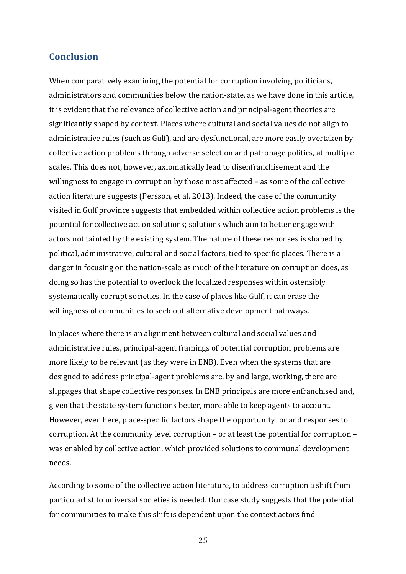## **Conclusion**

When comparatively examining the potential for corruption involving politicians, administrators and communities below the nation-state, as we have done in this article, it is evident that the relevance of collective action and principal-agent theories are significantly shaped by context. Places where cultural and social values do not align to administrative rules (such as Gulf), and are dysfunctional, are more easily overtaken by collective action problems through adverse selection and patronage politics, at multiple scales. This does not, however, axiomatically lead to disenfranchisement and the willingness to engage in corruption by those most affected  $-$  as some of the collective action literature suggests (Persson, et al. 2013). Indeed, the case of the community visited in Gulf province suggests that embedded within collective action problems is the potential for collective action solutions; solutions which aim to better engage with actors not tainted by the existing system. The nature of these responses is shaped by political, administrative, cultural and social factors, tied to specific places. There is a danger in focusing on the nation-scale as much of the literature on corruption does, as doing so has the potential to overlook the localized responses within ostensibly systematically corrupt societies. In the case of places like Gulf, it can erase the willingness of communities to seek out alternative development pathways.

In places where there is an alignment between cultural and social values and administrative rules, principal-agent framings of potential corruption problems are more likely to be relevant (as they were in ENB). Even when the systems that are designed to address principal-agent problems are, by and large, working, there are slippages that shape collective responses. In ENB principals are more enfranchised and, given that the state system functions better, more able to keep agents to account. However, even here, place-specific factors shape the opportunity for and responses to corruption. At the community level corruption  $-$  or at least the potential for corruption  $$ was enabled by collective action, which provided solutions to communal development needs.

According to some of the collective action literature, to address corruption a shift from particularlist to universal societies is needed. Our case study suggests that the potential for communities to make this shift is dependent upon the context actors find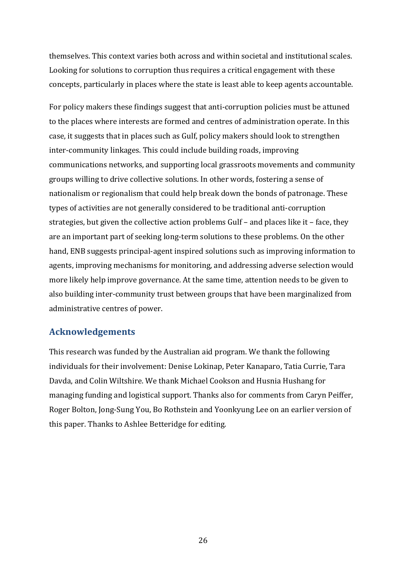themselves. This context varies both across and within societal and institutional scales. Looking for solutions to corruption thus requires a critical engagement with these concepts, particularly in places where the state is least able to keep agents accountable.

For policy makers these findings suggest that anti-corruption policies must be attuned to the places where interests are formed and centres of administration operate. In this case, it suggests that in places such as Gulf, policy makers should look to strengthen inter-community linkages. This could include building roads, improving communications networks, and supporting local grassroots movements and community groups willing to drive collective solutions. In other words, fostering a sense of nationalism or regionalism that could help break down the bonds of patronage. These types of activities are not generally considered to be traditional anti-corruption strategies, but given the collective action problems Gulf  $-$  and places like it  $-$  face, they are an important part of seeking long-term solutions to these problems. On the other hand, ENB suggests principal-agent inspired solutions such as improving information to agents, improving mechanisms for monitoring, and addressing adverse selection would more likely help improve governance. At the same time, attention needs to be given to also building inter-community trust between groups that have been marginalized from administrative centres of power.

# **Acknowledgements**

This research was funded by the Australian aid program. We thank the following individuals for their involvement: Denise Lokinap, Peter Kanaparo, Tatia Currie, Tara Davda, and Colin Wiltshire. We thank Michael Cookson and Husnia Hushang for managing funding and logistical support. Thanks also for comments from Caryn Peiffer, Roger Bolton, Jong-Sung You, Bo Rothstein and Yoonkyung Lee on an earlier version of this paper. Thanks to Ashlee Betteridge for editing.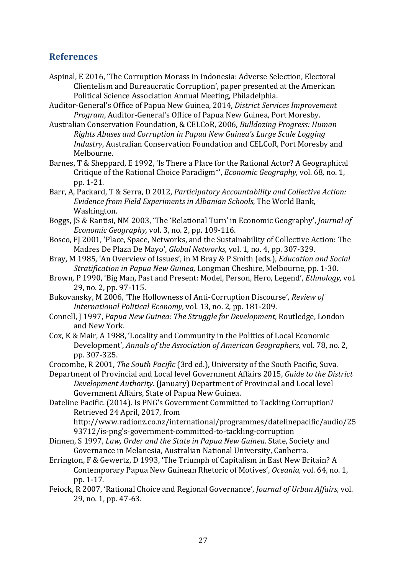# **References**

- Aspinal, E 2016, 'The Corruption Morass in Indonesia: Adverse Selection, Electoral Clientelism and Bureaucratic Corruption', paper presented at the American Political Science Association Annual Meeting, Philadelphia.
- Auditor-General's Office of Papua New Guinea, 2014, *District Services Improvement Program*, Auditor-General's Office of Papua New Guinea, Port Moresby.
- Australian Conservation Foundation, & CELCoR, 2006, *Bulldozing Progress: Human Rights Abuses and Corruption in Papua New Guinea's Large Scale Logging Industry*, Australian Conservation Foundation and CELCoR, Port Moresby and Melbourne.
- Barnes, T & Sheppard, E 1992, 'Is There a Place for the Rational Actor? A Geographical Critique of the Rational Choice Paradigm<sup>\*</sup>', *Economic Geography*, vol. 68, no. 1, pp. 1-21.
- Barr, A, Packard, T & Serra, D 2012, *Participatory Accountability and Collective Action: Evidence from Field Experiments in Albanian Schools*, The World Bank, Washington.
- Boggs, JS & Rantisi, NM 2003, 'The 'Relational Turn' in Economic Geography', *Journal of Economic Geography, vol.* 3, no. 2, pp. 109-116.
- Bosco, FJ 2001, 'Place, Space, Networks, and the Sustainability of Collective Action: The Madres De Plaza De Mayo', *Global Networks*, vol. 1, no. 4, pp. 307-329.
- Bray, M 1985, 'An Overview of Issues', in M Bray & P Smith (eds.), *Education and Social Stratification in Papua New Guinea, Longman Cheshire, Melbourne, pp. 1-30.*
- Brown, P 1990, 'Big Man, Past and Present: Model, Person, Hero, Legend', *Ethnology*, vol. 29, no. 2, pp. 97-115.
- Bukovansky, M 2006, 'The Hollowness of Anti-Corruption Discourse', *Review of International Political Economy, vol.* 13, no. 2, pp. 181-209.
- Connell, J 1997, *Papua New Guinea: The Struggle for Development*, Routledge, London and New York.
- Cox, K & Mair, A 1988, 'Locality and Community in the Politics of Local Economic Development', *Annals of the Association of American Geographers*, vol. 78, no. 2, pp. 307-325.
- Crocombe, R 2001, *The South Pacific* (3rd ed.), University of the South Pacific, Suva.

Department of Provincial and Local level Government Affairs 2015, *Guide to the District Development Authority*. (January) Department of Provincial and Local level Government Affairs, State of Papua New Guinea.

Dateline Pacific. (2014). Is PNG's Government Committed to Tackling Corruption? Retrieved 24 April, 2017, from

http://www.radionz.co.nz/international/programmes/datelinepacific/audio/25 93712/is-png's-government-committed-to-tackling-corruption

- Dinnen, S 1997, *Law, Order and the State in Papua New Guinea*. State, Society and Governance in Melanesia, Australian National University, Canberra.
- Errington, F & Gewertz, D 1993, 'The Triumph of Capitalism in East New Britain? A Contemporary Papua New Guinean Rhetoric of Motives', *Oceania*, vol. 64, no. 1, pp. 1-17.
- Feiock, R 2007, 'Rational Choice and Regional Governance', *Journal of Urban Affairs*, vol. 29, no. 1, pp. 47-63.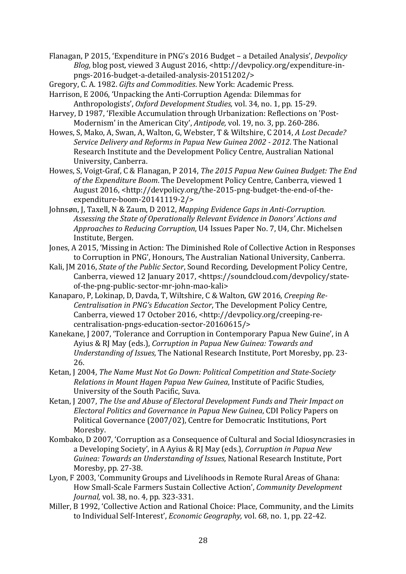- Flanagan, P 2015, 'Expenditure in PNG's 2016 Budget a Detailed Analysis', *Devpolicy Blog,* blog post, viewed 3 August 2016, <http://devpolicy.org/expenditure-inpngs-2016-budget-a-detailed-analysis-20151202/>
- Gregory, C. A. 1982. *Gifts and Commodities*. New York: Academic Press.
- Harrison, E 2006, 'Unpacking the Anti-Corruption Agenda: Dilemmas for Anthropologists', Oxford Development Studies, vol. 34, no. 1, pp. 15-29.
- Harvey, D 1987, 'Flexible Accumulation through Urbanization: Reflections on 'Post-Modernism' in the American City', *Antipode*, vol. 19, no. 3, pp. 260-286.
- Howes, S, Mako, A, Swan, A, Walton, G, Webster, T & Wiltshire, C 2014, A Lost Decade? *Service Delivery and Reforms in Papua New Guinea 2002 - 2012.* The National Research Institute and the Development Policy Centre, Australian National University, Canberra.
- Howes, S, Voigt-Graf, C & Flanagan, P 2014, *The 2015 Papua New Guinea Budget: The End* of the Expenditure Boom. The Development Policy Centre, Canberra, viewed 1 August 2016, <http://devpolicy.org/the-2015-png-budget-the-end-of-theexpenditure-boom-20141119-2/>
- Johnsøn, J, Taxell, N & Zaum, D 2012, *Mapping Evidence Gaps in Anti-Corruption.* Assessing the State of Operationally Relevant Evidence in Donors' Actions and *Approaches to Reducing Corruption*, U4 Issues Paper No. 7, U4, Chr. Michelsen Institute, Bergen.
- Jones, A 2015, 'Missing in Action: The Diminished Role of Collective Action in Responses to Corruption in PNG', Honours, The Australian National University, Canberra.
- Kali, JM 2016, *State of the Public Sector*, Sound Recording, Development Policy Centre, Canberra, viewed 12 January 2017, <https://soundcloud.com/devpolicy/stateof-the-png-public-sector-mr-john-mao-kali>
- Kanaparo, P, Lokinap, D, Davda, T, Wiltshire, C & Walton, GW 2016, *Creeping Re-Centralisation in PNG's Education Sector*, The Development Policy Centre, Canberra, viewed 17 October 2016, <http://devpolicy.org/creeping-recentralisation-pngs-education-sector-20160615/>
- Kanekane, J 2007, 'Tolerance and Corruption in Contemporary Papua New Guine', in A Ayius & RJ May (eds.), *Corruption in Papua New Guinea: Towards and Understanding of Issues,* The National Research Institute, Port Moresby, pp. 23-26.
- Ketan, J 2004, *The Name Must Not Go Down: Political Competition and State-Society Relations in Mount Hagen Papua New Guinea*, Institute of Pacific Studies, University of the South Pacific, Suva.
- Ketan, J 2007, *The Use and Abuse of Electoral Development Funds and Their Impact on Electoral Politics and Governance in Papua New Guinea, CDI Policy Papers on* Political Governance (2007/02), Centre for Democratic Institutions, Port Moresby.
- Kombako, D 2007, 'Corruption as a Consequence of Cultural and Social Idiosyncrasies in a Developing Society', in A Ayius & RJ May (eds.), *Corruption in Papua New Guinea: Towards an Understanding of Issues, National Research Institute, Port* Moresby, pp. 27-38.
- Lyon, F 2003, 'Community Groups and Livelihoods in Remote Rural Areas of Ghana: How Small-Scale Farmers Sustain Collective Action', *Community Development Journal, vol.* 38, no. 4, pp. 323-331.
- Miller, B 1992, 'Collective Action and Rational Choice: Place, Community, and the Limits to Individual Self-Interest', *Economic Geography*, vol. 68, no. 1, pp. 22-42.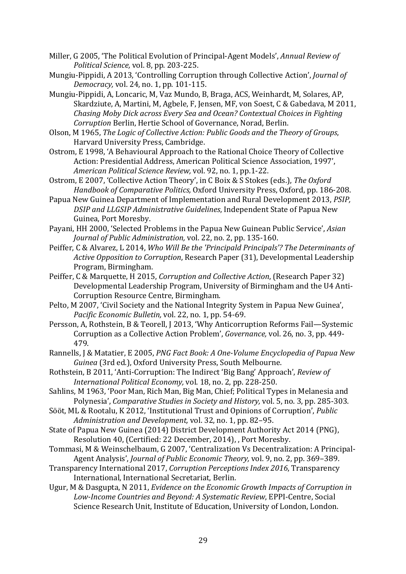- Miller, G 2005, 'The Political Evolution of Principal-Agent Models', *Annual Review of Political Science, vol. 8, pp. 203-225.*
- Mungiu-Pippidi, A 2013, 'Controlling Corruption through Collective Action', *Journal of Democracy, vol.* 24, no. 1, pp. 101-115.
- Mungiu-Pippidi, A, Loncaric, M, Vaz Mundo, B, Braga, ACS, Weinhardt, M, Solares, AP, Skardziute, A, Martini, M, Agbele, F, Jensen, MF, von Soest, C & Gabedava, M 2011, *Chasing Moby Dick across Every Sea and Ocean? Contextual Choices in Fighting Corruption* Berlin, Hertie School of Governance, Norad, Berlin.
- Olson, M 1965, *The Logic of Collective Action: Public Goods and the Theory of Groups*, Harvard University Press, Cambridge.
- Ostrom, E 1998, 'A Behavioural Approach to the Rational Choice Theory of Collective Action: Presidential Address, American Political Science Association, 1997', *American Political Science Review,* vol. 92, no. 1, pp.1-22.
- Ostrom, E 2007, 'Collective Action Theory', in C Boix & S Stokes (eds.), The Oxford *Handbook of Comparative Politics, Oxford University Press, Oxford, pp. 186-208.*
- Papua New Guinea Department of Implementation and Rural Development 2013, *PSIP*, *DSIP* and *LLGSIP* Administrative Guidelines, Independent State of Papua New Guinea, Port Moresby.
- Payani, HH 2000, 'Selected Problems in the Papua New Guinean Public Service', *Asian Journal of Public Administration, vol.* 22, no. 2, pp. 135-160.
- Peiffer, C & Alvarez, L 2014, *Who Will Be the 'Principald Principals'? The Determinants of Active Opposition to Corruption*, Research Paper (31), Developmental Leadership Program, Birmingham.
- Peiffer, C & Marquette, H 2015, *Corruption and Collective Action*, (Research Paper 32) Developmental Leadership Program, University of Birmingham and the U4 Anti-Corruption Resource Centre, Birmingham.
- Pelto, M 2007, 'Civil Society and the National Integrity System in Papua New Guinea', *Pacific Economic Bulletin, vol.* 22, no. 1, pp. 54-69.
- Persson, A, Rothstein, B & Teorell, J 2013, 'Why Anticorruption Reforms Fail—Systemic Corruption as a Collective Action Problem', *Governance*, vol. 26, no. 3, pp. 449-479.
- Rannells, J & Matatier, E 2005, *PNG Fact Book: A One-Volume Encyclopedia of Papua New Guinea* (3rd ed.), Oxford University Press, South Melbourne.
- Rothstein, B 2011, 'Anti-Corruption: The Indirect 'Big Bang' Approach', *Review of International Political Economy, vol.* 18, no. 2, pp. 228-250.
- Sahlins, M 1963, 'Poor Man, Rich Man, Big Man, Chief; Political Types in Melanesia and Polynesia', *Comparative Studies in Society and History*, vol. 5, no. 3, pp. 285-303.
- Sööt, ML & Rootalu, K 2012, 'Institutional Trust and Opinions of Corruption', *Public Administration and Development, vol.* 32, no. 1, pp. 82-95.
- State of Papua New Guinea (2014) District Development Authority Act 2014 (PNG), Resolution 40, (Certified: 22 December, 2014), , Port Moresby.
- Tommasi, M & Weinschelbaum, G 2007, 'Centralization Vs Decentralization: A Principal-Agent Analysis', *Journal of Public Economic Theory*, vol. 9, no. 2, pp. 369–389.
- Transparency International 2017, *Corruption Perceptions Index 2016*, Transparency International, International Secretariat, Berlin.
- Ugur, M & Dasgupta, N 2011, *Evidence on the Economic Growth Impacts of Corruption in* Low-Income Countries and Beyond: A Systematic Review, EPPI-Centre, Social Science Research Unit, Institute of Education, University of London, London.